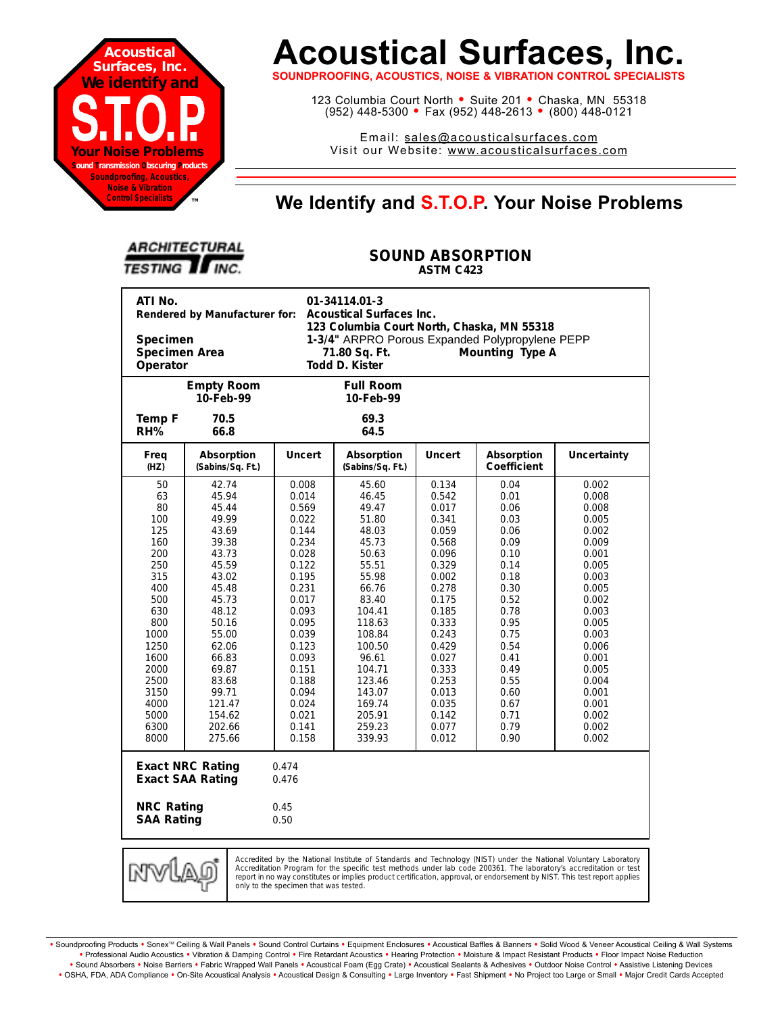

# **Acoustical Surfaces, Inc.**

**SOUNDPROOFING, ACOUSTICS, NOISE & VIBRATION CONTROL SPECIALISTS**

123 Columbia Court North · Suite 201 · Chaska, MN 55318 (952) 448-5300 <sup>=</sup> Fax (952) 448-2613 <sup>=</sup> (800) 448-0121

Email: sales@acousticalsurfaces.com Visit our Website: www.acousticalsurfaces.com

## **™ We Identify and S.T.O.P. Your Noise Problems**

| <b>ARCHITECTURAL</b>   |  |
|------------------------|--|
| <b>TESTING II INC.</b> |  |

#### **SOUND ABSORPTION ASTM C423**

| ATI No.<br>01-34114.01-3<br>Rendered by Manufacturer for:<br>Acoustical Surfaces Inc.<br>123 Columbia Court North, Chaska, MN 55318                                                                                                                                                                                                                                                                        |                                                                                                                                                                                                                 |                                                                                                                                                                                                             |                                                                                                                                                                                                                        |                                                                                                                                                                                                             |                                                                                                                                                                                      |                                                                                                                                                                                                             |  |
|------------------------------------------------------------------------------------------------------------------------------------------------------------------------------------------------------------------------------------------------------------------------------------------------------------------------------------------------------------------------------------------------------------|-----------------------------------------------------------------------------------------------------------------------------------------------------------------------------------------------------------------|-------------------------------------------------------------------------------------------------------------------------------------------------------------------------------------------------------------|------------------------------------------------------------------------------------------------------------------------------------------------------------------------------------------------------------------------|-------------------------------------------------------------------------------------------------------------------------------------------------------------------------------------------------------------|--------------------------------------------------------------------------------------------------------------------------------------------------------------------------------------|-------------------------------------------------------------------------------------------------------------------------------------------------------------------------------------------------------------|--|
| 1-3/4" ARPRO Porous Expanded Polypropylene PEPP<br><b>Specimen</b><br>Specimen Area<br>Mounting Type A<br>71.80 Sq. Ft.<br>Todd D. Kister<br>Operator                                                                                                                                                                                                                                                      |                                                                                                                                                                                                                 |                                                                                                                                                                                                             |                                                                                                                                                                                                                        |                                                                                                                                                                                                             |                                                                                                                                                                                      |                                                                                                                                                                                                             |  |
|                                                                                                                                                                                                                                                                                                                                                                                                            | <b>Empty Room</b><br>10-Feb-99                                                                                                                                                                                  |                                                                                                                                                                                                             | <b>Full Room</b><br>10-Feb-99                                                                                                                                                                                          |                                                                                                                                                                                                             |                                                                                                                                                                                      |                                                                                                                                                                                                             |  |
| <b>Temp F</b><br>RH%                                                                                                                                                                                                                                                                                                                                                                                       | 70.5<br>66.8                                                                                                                                                                                                    |                                                                                                                                                                                                             | 69.3<br>64.5                                                                                                                                                                                                           |                                                                                                                                                                                                             |                                                                                                                                                                                      |                                                                                                                                                                                                             |  |
| Freq<br>(HZ)                                                                                                                                                                                                                                                                                                                                                                                               | Absorption<br>(Sabins/Sq. Ft.)                                                                                                                                                                                  | <b>Uncert</b>                                                                                                                                                                                               | Absorption<br>(Sabins/Sq. Ft.)                                                                                                                                                                                         | <b>Uncert</b>                                                                                                                                                                                               | Absorption<br>Coefficient                                                                                                                                                            | Uncertainty                                                                                                                                                                                                 |  |
| 50<br>63<br>80<br>100<br>125<br>160<br>200<br>250<br>315<br>400<br>500<br>630<br>800<br>1000<br>1250<br>1600<br>2000<br>2500<br>3150<br>4000<br>5000<br>6300<br>8000                                                                                                                                                                                                                                       | 42.74<br>45.94<br>45.44<br>49.99<br>43.69<br>39.38<br>43.73<br>45.59<br>43.02<br>45.48<br>45.73<br>48.12<br>50.16<br>55.00<br>62.06<br>66.83<br>69.87<br>83.68<br>99.71<br>121.47<br>154.62<br>202.66<br>275.66 | 0.008<br>0.014<br>0.569<br>0.022<br>0.144<br>0.234<br>0.028<br>0.122<br>0.195<br>0.231<br>0.017<br>0.093<br>0.095<br>0.039<br>0.123<br>0.093<br>0.151<br>0.188<br>0.094<br>0.024<br>0.021<br>0.141<br>0.158 | 45.60<br>46.45<br>49.47<br>51.80<br>48.03<br>45.73<br>50.63<br>55.51<br>55.98<br>66.76<br>83.40<br>104.41<br>118.63<br>108.84<br>100.50<br>96.61<br>104.71<br>123.46<br>143.07<br>169.74<br>205.91<br>259.23<br>339.93 | 0.134<br>0.542<br>0.017<br>0.341<br>0.059<br>0.568<br>0.096<br>0.329<br>0.002<br>0.278<br>0.175<br>0.185<br>0.333<br>0.243<br>0.429<br>0.027<br>0.333<br>0.253<br>0.013<br>0.035<br>0.142<br>0.077<br>0.012 | 0.04<br>0.01<br>0.06<br>0.03<br>0.06<br>0.09<br>0.10<br>0.14<br>0.18<br>0.30<br>0.52<br>0.78<br>0.95<br>0.75<br>0.54<br>0.41<br>0.49<br>0.55<br>0.60<br>0.67<br>0.71<br>0.79<br>0.90 | 0.002<br>0.008<br>0.008<br>0.005<br>0.002<br>0.009<br>0.001<br>0.005<br>0.003<br>0.005<br>0.002<br>0.003<br>0.005<br>0.003<br>0.006<br>0.001<br>0.005<br>0.004<br>0.001<br>0.001<br>0.002<br>0.002<br>0.002 |  |
| <b>Exact NRC Rating</b><br>0.474<br><b>Exact SAA Rating</b><br>0.476                                                                                                                                                                                                                                                                                                                                       |                                                                                                                                                                                                                 |                                                                                                                                                                                                             |                                                                                                                                                                                                                        |                                                                                                                                                                                                             |                                                                                                                                                                                      |                                                                                                                                                                                                             |  |
| <b>NRC Rating</b><br><b>SAA Rating</b>                                                                                                                                                                                                                                                                                                                                                                     |                                                                                                                                                                                                                 | 0.45<br>0.50                                                                                                                                                                                                |                                                                                                                                                                                                                        |                                                                                                                                                                                                             |                                                                                                                                                                                      |                                                                                                                                                                                                             |  |
| Accredited by the National Institute of Standards and Technology (NIST) under the National Voluntary Laboratory<br>Accreditation Program for the specific test methods under lab code 200361. The laboratory's accreditation or test<br>report in no way constitutes or implies product certification, approval, or endorsement by NIST. This test report applies<br>only to the specimen that was tested. |                                                                                                                                                                                                                 |                                                                                                                                                                                                             |                                                                                                                                                                                                                        |                                                                                                                                                                                                             |                                                                                                                                                                                      |                                                                                                                                                                                                             |  |

Soundproofing Products . Sonex<sup>TM</sup> Ceiling & Wall Panels . Sound Control Curtains . Equipment Enclosures . Acoustical Baffles & Banners . Solid Wood & Veneer Acoustical Ceiling & Wall Systems **•** Professional Audio Acoustics **•** Vibration & Damping Control **•** Fire Retardant Acoustics **•** Hearing Protection **•** Moisture & Impact Resistant Products **•** Floor Impact Noise Reduction · Sound Absorbers · Noise Barriers · Fabric Wrapped Wall Panels · Acoustical Foam (Egg Crate) · Acoustical Sealants & Adhesives · Outdoor Noise Control · Assistive Listening Devices . OSHA, FDA, ADA Compliance . On-Site Acoustical Analysis . Acoustical Design & Consulting . Large Inventory . Fast Shipment . No Project too Large or Small . Major Credit Cards Accepted

only to the specimen that was tested.